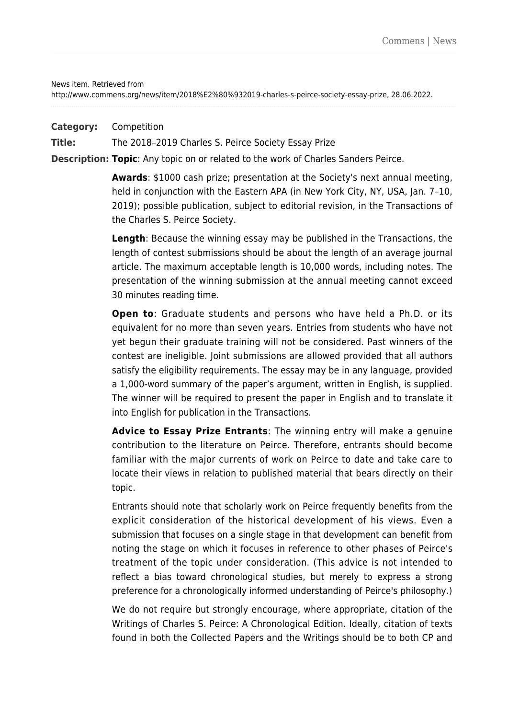News item. Retrieved from

http://www.commens.org/news/item/2018%E2%80%932019-charles-s-peirce-society-essay-prize, 28.06.2022.

**Category:** Competition

**Title:** The 2018–2019 Charles S. Peirce Society Essay Prize

**Description: Topic**: Any topic on or related to the work of Charles Sanders Peirce.

**Awards**: \$1000 cash prize; presentation at the Society's next annual meeting, held in conjunction with the Eastern APA (in New York City, NY, USA, Jan. 7–10, 2019); possible publication, subject to editorial revision, in the Transactions of the Charles S. Peirce Society.

**Length**: Because the winning essay may be published in the Transactions, the length of contest submissions should be about the length of an average journal article. The maximum acceptable length is 10,000 words, including notes. The presentation of the winning submission at the annual meeting cannot exceed 30 minutes reading time.

**Open to**: Graduate students and persons who have held a Ph.D. or its equivalent for no more than seven years. Entries from students who have not yet begun their graduate training will not be considered. Past winners of the contest are ineligible. Joint submissions are allowed provided that all authors satisfy the eligibility requirements. The essay may be in any language, provided a 1,000-word summary of the paper's argument, written in English, is supplied. The winner will be required to present the paper in English and to translate it into English for publication in the Transactions.

**Advice to Essay Prize Entrants**: The winning entry will make a genuine contribution to the literature on Peirce. Therefore, entrants should become familiar with the major currents of work on Peirce to date and take care to locate their views in relation to published material that bears directly on their topic.

Entrants should note that scholarly work on Peirce frequently benefits from the explicit consideration of the historical development of his views. Even a submission that focuses on a single stage in that development can benefit from noting the stage on which it focuses in reference to other phases of Peirce's treatment of the topic under consideration. (This advice is not intended to reflect a bias toward chronological studies, but merely to express a strong preference for a chronologically informed understanding of Peirce's philosophy.)

We do not require but strongly encourage, where appropriate, citation of the Writings of Charles S. Peirce: A Chronological Edition. Ideally, citation of texts found in both the Collected Papers and the Writings should be to both CP and